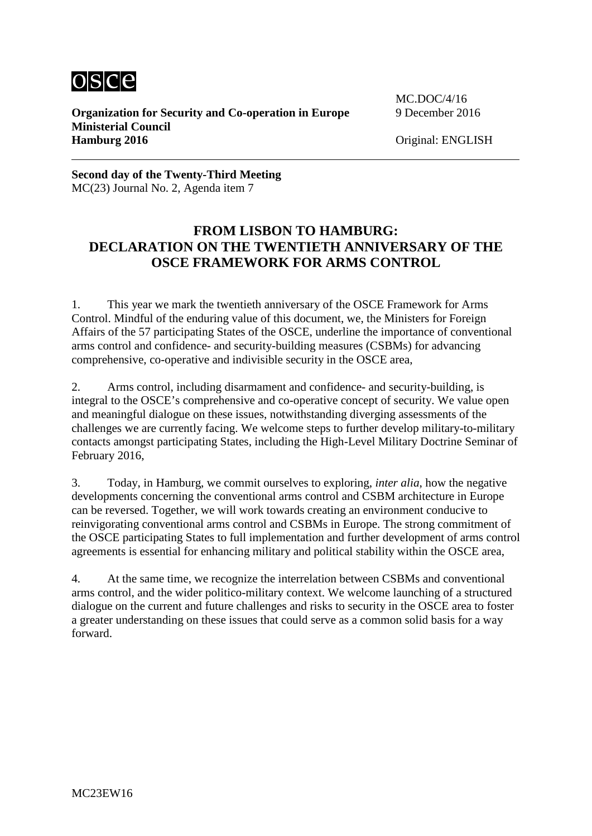

**Organization for Security and Co-operation in Europe** 9 December 2016 **Ministerial Council Hamburg 2016** Original: ENGLISH

MC.DOC/4/16

**Second day of the Twenty-Third Meeting** MC(23) Journal No. 2, Agenda item 7

## **FROM LISBON TO HAMBURG: DECLARATION ON THE TWENTIETH ANNIVERSARY OF THE OSCE FRAMEWORK FOR ARMS CONTROL**

1. This year we mark the twentieth anniversary of the OSCE Framework for Arms Control. Mindful of the enduring value of this document, we, the Ministers for Foreign Affairs of the 57 participating States of the OSCE, underline the importance of conventional arms control and confidence- and security-building measures (CSBMs) for advancing comprehensive, co-operative and indivisible security in the OSCE area,

2. Arms control, including disarmament and confidence- and security-building, is integral to the OSCE's comprehensive and co-operative concept of security. We value open and meaningful dialogue on these issues, notwithstanding diverging assessments of the challenges we are currently facing. We welcome steps to further develop military-to-military contacts amongst participating States, including the High-Level Military Doctrine Seminar of February 2016,

3. Today, in Hamburg, we commit ourselves to exploring, *inter alia*, how the negative developments concerning the conventional arms control and CSBM architecture in Europe can be reversed. Together, we will work towards creating an environment conducive to reinvigorating conventional arms control and CSBMs in Europe. The strong commitment of the OSCE participating States to full implementation and further development of arms control agreements is essential for enhancing military and political stability within the OSCE area,

4. At the same time, we recognize the interrelation between CSBMs and conventional arms control, and the wider politico-military context. We welcome launching of a structured dialogue on the current and future challenges and risks to security in the OSCE area to foster a greater understanding on these issues that could serve as a common solid basis for a way forward.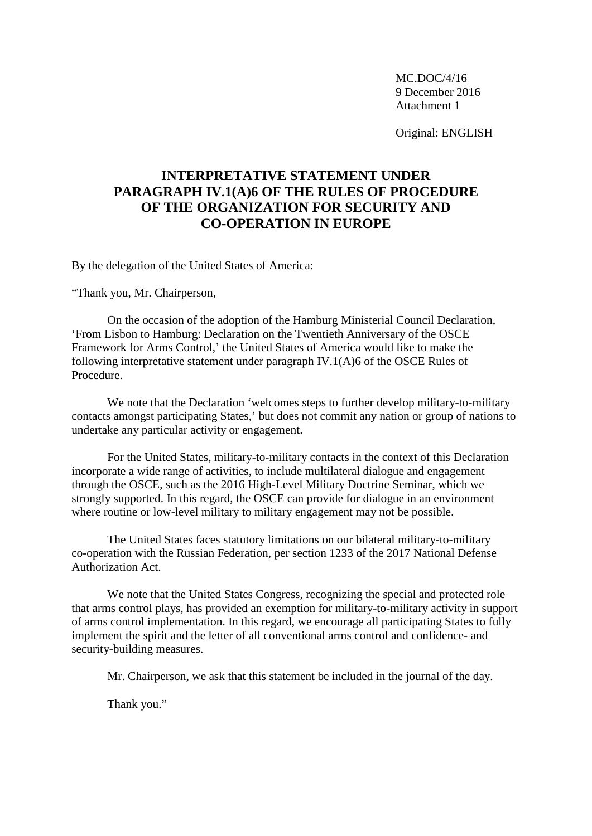MC.DOC/4/16 9 December 2016 Attachment 1

Original: ENGLISH

## **INTERPRETATIVE STATEMENT UNDER PARAGRAPH IV.1(A)6 OF THE RULES OF PROCEDURE OF THE ORGANIZATION FOR SECURITY AND CO-OPERATION IN EUROPE**

By the delegation of the United States of America:

"Thank you, Mr. Chairperson,

On the occasion of the adoption of the Hamburg Ministerial Council Declaration, 'From Lisbon to Hamburg: Declaration on the Twentieth Anniversary of the OSCE Framework for Arms Control,' the United States of America would like to make the following interpretative statement under paragraph IV.1(A)6 of the OSCE Rules of Procedure.

We note that the Declaration 'welcomes steps to further develop military-to-military contacts amongst participating States,' but does not commit any nation or group of nations to undertake any particular activity or engagement.

For the United States, military-to-military contacts in the context of this Declaration incorporate a wide range of activities, to include multilateral dialogue and engagement through the OSCE, such as the 2016 High-Level Military Doctrine Seminar, which we strongly supported. In this regard, the OSCE can provide for dialogue in an environment where routine or low-level military to military engagement may not be possible.

The United States faces statutory limitations on our bilateral military-to-military co-operation with the Russian Federation, per section 1233 of the 2017 National Defense Authorization Act.

We note that the United States Congress, recognizing the special and protected role that arms control plays, has provided an exemption for military-to-military activity in support of arms control implementation. In this regard, we encourage all participating States to fully implement the spirit and the letter of all conventional arms control and confidence- and security-building measures.

Mr. Chairperson, we ask that this statement be included in the journal of the day.

Thank you."